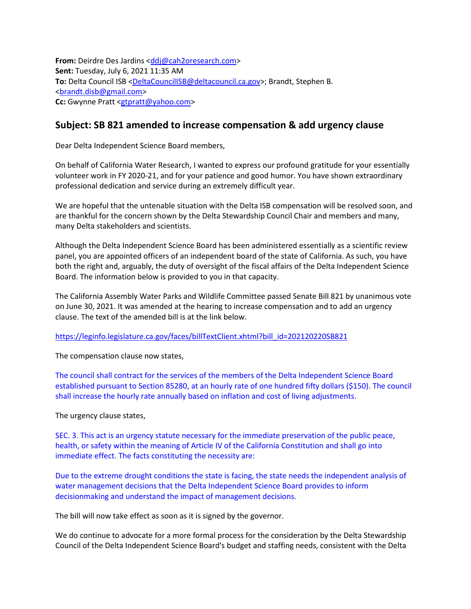**From:** Deirdre Des Jardins <ddi@cah2oresearch.com> **Sent:** Tuesday, July 6, 2021 11:35 AM To: Delta Council ISB [<DeltaCouncilISB@deltacouncil.ca.gov>](mailto:DeltaCouncilISB@deltacouncil.ca.gov); Brandt, Stephen B. [<brandt.disb@gmail.com>](mailto:brandt.disb@gmail.com) Cc: Gwynne Pratt [<gtpratt@yahoo.com>](mailto:gtpratt@yahoo.com)

## **Subject: SB 821 amended to increase compensation & add urgency clause**

Dear Delta Independent Science Board members,

On behalf of California Water Research, I wanted to express our profound gratitude for your essentially volunteer work in FY 2020-21, and for your patience and good humor. You have shown extraordinary professional dedication and service during an extremely difficult year.

We are hopeful that the untenable situation with the Delta ISB compensation will be resolved soon, and are thankful for the concern shown by the Delta Stewardship Council Chair and members and many, many Delta stakeholders and scientists.

Although the Delta Independent Science Board has been administered essentially as a scientific review panel, you are appointed officers of an independent board of the state of California. As such, you have both the right and, arguably, the duty of oversight of the fiscal affairs of the Delta Independent Science Board. The information below is provided to you in that capacity.

The California Assembly Water Parks and Wildlife Committee passed Senate Bill 821 by unanimous vote on June 30, 2021. It was amended at the hearing to increase compensation and to add an urgency clause. The text of the amended bill is at the link below.

[https://leginfo.legislature.ca.gov/faces/billTextClient.xhtml?bill\\_id=202120220SB821](https://leginfo.legislature.ca.gov/faces/billTextClient.xhtml?bill_id=202120220SB821)

The compensation clause now states,

The council shall contract for the services of the members of the Delta Independent Science Board established pursuant to Section 85280, at an hourly rate of one hundred fifty dollars (\$150). The council shall increase the hourly rate annually based on inflation and cost of living adjustments.

The urgency clause states,

SEC. 3. This act is an urgency statute necessary for the immediate preservation of the public peace, health, or safety within the meaning of Article IV of the California Constitution and shall go into immediate effect. The facts constituting the necessity are:

Due to the extreme drought conditions the state is facing, the state needs the independent analysis of water management decisions that the Delta Independent Science Board provides to inform decisionmaking and understand the impact of management decisions.

The bill will now take effect as soon as it is signed by the governor.

We do continue to advocate for a more formal process for the consideration by the Delta Stewardship Council of the Delta Independent Science Board's budget and staffing needs, consistent with the Delta